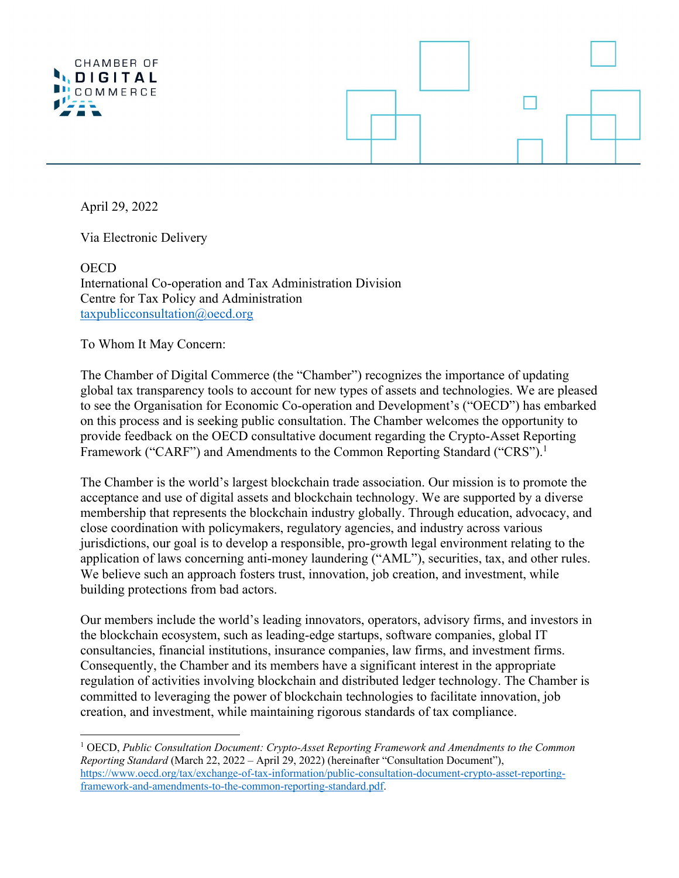



April 29, 2022

Via Electronic Delivery

**OECD** International Co-operation and Tax Administration Division Centre for Tax Policy and Administration taxpublicconsultation@oecd.org

To Whom It May Concern:

The Chamber of Digital Commerce (the "Chamber") recognizes the importance of updating global tax transparency tools to account for new types of assets and technologies. We are pleased to see the Organisation for Economic Co-operation and Development's ("OECD") has embarked on this process and is seeking public consultation. The Chamber welcomes the opportunity to provide feedback on the OECD consultative document regarding the Crypto-Asset Reporting Framework ("CARF") and Amendments to the Common Reporting Standard ("CRS").<sup>1</sup>

The Chamber is the world's largest blockchain trade association. Our mission is to promote the acceptance and use of digital assets and blockchain technology. We are supported by a diverse membership that represents the blockchain industry globally. Through education, advocacy, and close coordination with policymakers, regulatory agencies, and industry across various jurisdictions, our goal is to develop a responsible, pro-growth legal environment relating to the application of laws concerning anti-money laundering ("AML"), securities, tax, and other rules. We believe such an approach fosters trust, innovation, job creation, and investment, while building protections from bad actors.

Our members include the world's leading innovators, operators, advisory firms, and investors in the blockchain ecosystem, such as leading-edge startups, software companies, global IT consultancies, financial institutions, insurance companies, law firms, and investment firms. Consequently, the Chamber and its members have a significant interest in the appropriate regulation of activities involving blockchain and distributed ledger technology. The Chamber is committed to leveraging the power of blockchain technologies to facilitate innovation, job creation, and investment, while maintaining rigorous standards of tax compliance.

<sup>1</sup> OECD, *Public Consultation Document: Crypto-Asset Reporting Framework and Amendments to the Common Reporting Standard* (March 22, 2022 – April 29, 2022) (hereinafter "Consultation Document"), https://www.oecd.org/tax/exchange-of-tax-information/public-consultation-document-crypto-asset-reportingframework-and-amendments-to-the-common-reporting-standard.pdf.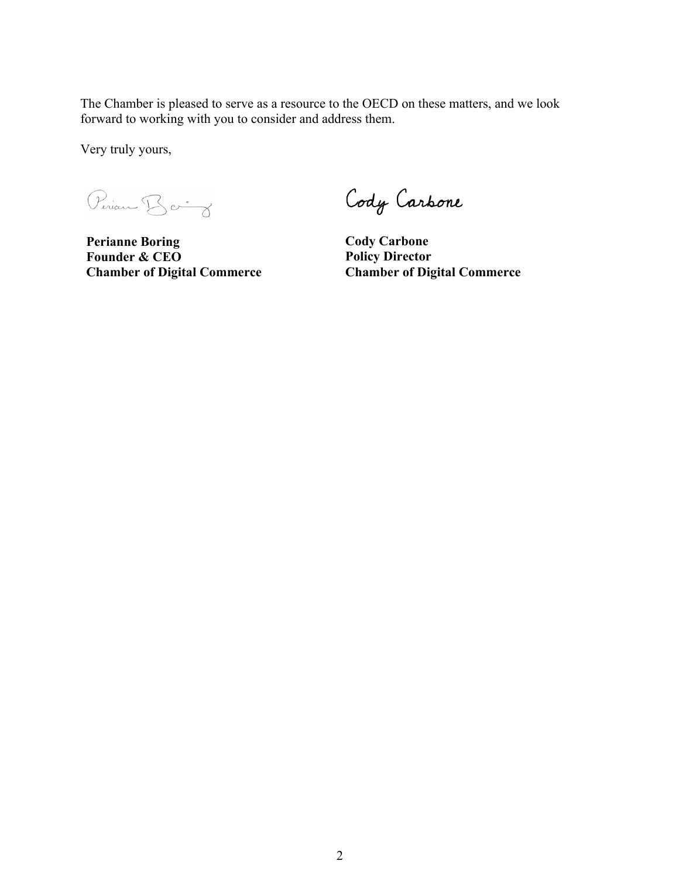The Chamber is pleased to serve as a resource to the OECD on these matters, and we look forward to working with you to consider and address them.

Very truly yours,

Periam Baing

**Perianne Boring Founder & CEO Chamber of Digital Commerce**

Cody Carbone

**Cody Carbone Policy Director Chamber of Digital Commerce**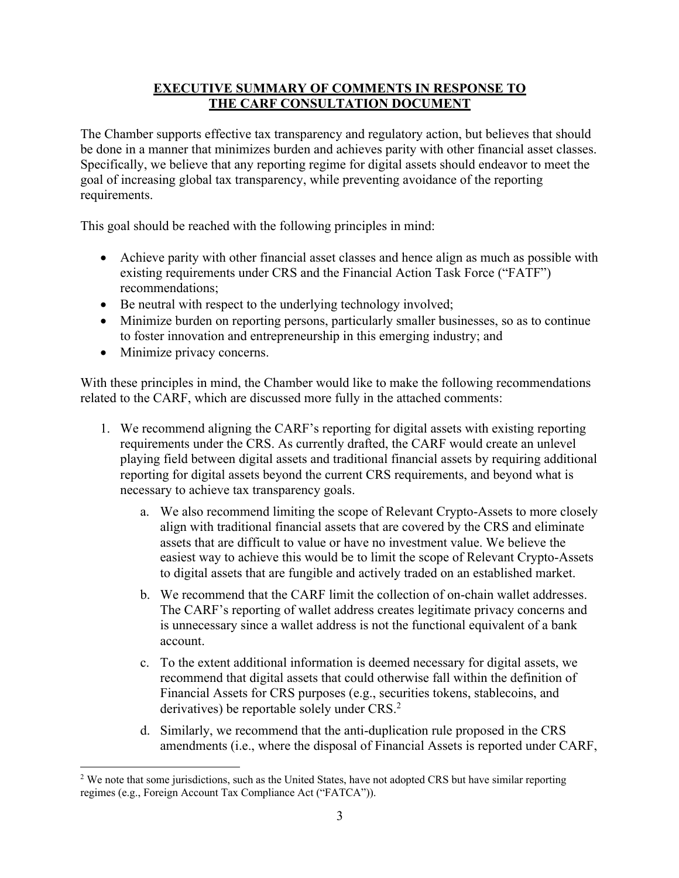# **EXECUTIVE SUMMARY OF COMMENTS IN RESPONSE TO THE CARF CONSULTATION DOCUMENT**

The Chamber supports effective tax transparency and regulatory action, but believes that should be done in a manner that minimizes burden and achieves parity with other financial asset classes. Specifically, we believe that any reporting regime for digital assets should endeavor to meet the goal of increasing global tax transparency, while preventing avoidance of the reporting requirements.

This goal should be reached with the following principles in mind:

- Achieve parity with other financial asset classes and hence align as much as possible with existing requirements under CRS and the Financial Action Task Force ("FATF") recommendations;
- Be neutral with respect to the underlying technology involved;
- Minimize burden on reporting persons, particularly smaller businesses, so as to continue to foster innovation and entrepreneurship in this emerging industry; and
- Minimize privacy concerns.

With these principles in mind, the Chamber would like to make the following recommendations related to the CARF, which are discussed more fully in the attached comments:

- 1. We recommend aligning the CARF's reporting for digital assets with existing reporting requirements under the CRS. As currently drafted, the CARF would create an unlevel playing field between digital assets and traditional financial assets by requiring additional reporting for digital assets beyond the current CRS requirements, and beyond what is necessary to achieve tax transparency goals.
	- a. We also recommend limiting the scope of Relevant Crypto-Assets to more closely align with traditional financial assets that are covered by the CRS and eliminate assets that are difficult to value or have no investment value. We believe the easiest way to achieve this would be to limit the scope of Relevant Crypto-Assets to digital assets that are fungible and actively traded on an established market.
	- b. We recommend that the CARF limit the collection of on-chain wallet addresses. The CARF's reporting of wallet address creates legitimate privacy concerns and is unnecessary since a wallet address is not the functional equivalent of a bank account.
	- c. To the extent additional information is deemed necessary for digital assets, we recommend that digital assets that could otherwise fall within the definition of Financial Assets for CRS purposes (e.g., securities tokens, stablecoins, and derivatives) be reportable solely under CRS.<sup>2</sup>
	- d. Similarly, we recommend that the anti-duplication rule proposed in the CRS amendments (i.e., where the disposal of Financial Assets is reported under CARF,

<sup>&</sup>lt;sup>2</sup> We note that some jurisdictions, such as the United States, have not adopted CRS but have similar reporting regimes (e.g., Foreign Account Tax Compliance Act ("FATCA")).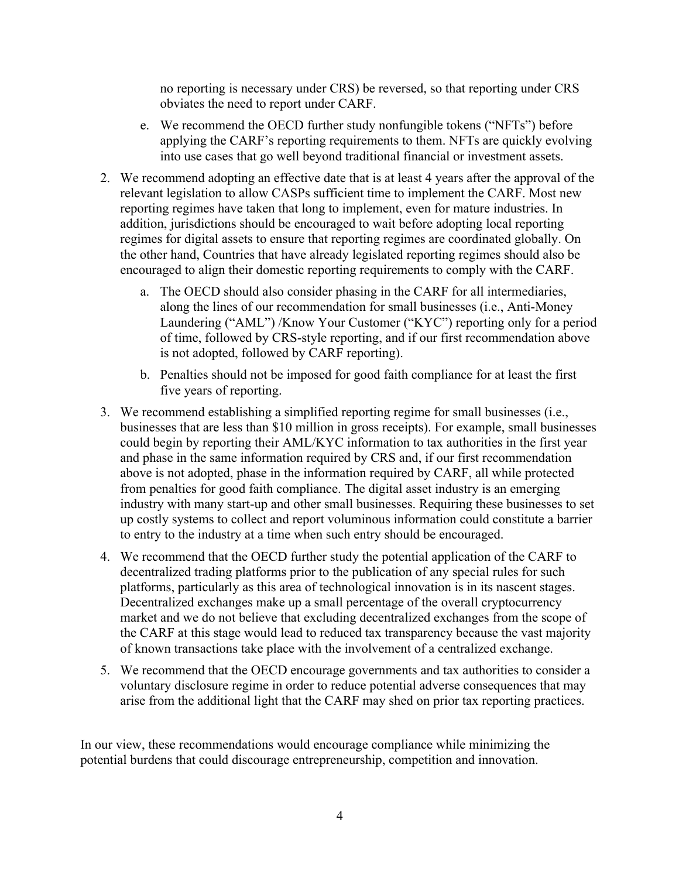no reporting is necessary under CRS) be reversed, so that reporting under CRS obviates the need to report under CARF.

- e. We recommend the OECD further study nonfungible tokens ("NFTs") before applying the CARF's reporting requirements to them. NFTs are quickly evolving into use cases that go well beyond traditional financial or investment assets.
- 2. We recommend adopting an effective date that is at least 4 years after the approval of the relevant legislation to allow CASPs sufficient time to implement the CARF. Most new reporting regimes have taken that long to implement, even for mature industries. In addition, jurisdictions should be encouraged to wait before adopting local reporting regimes for digital assets to ensure that reporting regimes are coordinated globally. On the other hand, Countries that have already legislated reporting regimes should also be encouraged to align their domestic reporting requirements to comply with the CARF.
	- a. The OECD should also consider phasing in the CARF for all intermediaries, along the lines of our recommendation for small businesses (i.e., Anti-Money Laundering ("AML") /Know Your Customer ("KYC") reporting only for a period of time, followed by CRS-style reporting, and if our first recommendation above is not adopted, followed by CARF reporting).
	- b. Penalties should not be imposed for good faith compliance for at least the first five years of reporting.
- 3. We recommend establishing a simplified reporting regime for small businesses (i.e., businesses that are less than \$10 million in gross receipts). For example, small businesses could begin by reporting their AML/KYC information to tax authorities in the first year and phase in the same information required by CRS and, if our first recommendation above is not adopted, phase in the information required by CARF, all while protected from penalties for good faith compliance. The digital asset industry is an emerging industry with many start-up and other small businesses. Requiring these businesses to set up costly systems to collect and report voluminous information could constitute a barrier to entry to the industry at a time when such entry should be encouraged.
- 4. We recommend that the OECD further study the potential application of the CARF to decentralized trading platforms prior to the publication of any special rules for such platforms, particularly as this area of technological innovation is in its nascent stages. Decentralized exchanges make up a small percentage of the overall cryptocurrency market and we do not believe that excluding decentralized exchanges from the scope of the CARF at this stage would lead to reduced tax transparency because the vast majority of known transactions take place with the involvement of a centralized exchange.
- 5. We recommend that the OECD encourage governments and tax authorities to consider a voluntary disclosure regime in order to reduce potential adverse consequences that may arise from the additional light that the CARF may shed on prior tax reporting practices.

In our view, these recommendations would encourage compliance while minimizing the potential burdens that could discourage entrepreneurship, competition and innovation.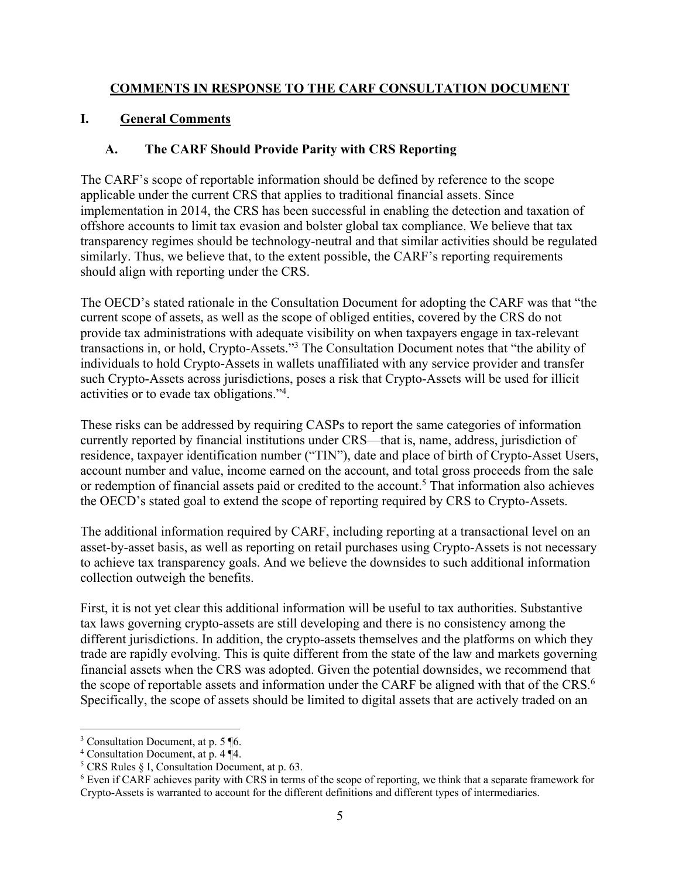### **COMMENTS IN RESPONSE TO THE CARF CONSULTATION DOCUMENT**

# **I. General Comments**

### **A. The CARF Should Provide Parity with CRS Reporting**

The CARF's scope of reportable information should be defined by reference to the scope applicable under the current CRS that applies to traditional financial assets. Since implementation in 2014, the CRS has been successful in enabling the detection and taxation of offshore accounts to limit tax evasion and bolster global tax compliance. We believe that tax transparency regimes should be technology-neutral and that similar activities should be regulated similarly. Thus, we believe that, to the extent possible, the CARF's reporting requirements should align with reporting under the CRS.

The OECD's stated rationale in the Consultation Document for adopting the CARF was that "the current scope of assets, as well as the scope of obliged entities, covered by the CRS do not provide tax administrations with adequate visibility on when taxpayers engage in tax-relevant transactions in, or hold, Crypto-Assets."3 The Consultation Document notes that "the ability of individuals to hold Crypto-Assets in wallets unaffiliated with any service provider and transfer such Crypto-Assets across jurisdictions, poses a risk that Crypto-Assets will be used for illicit activities or to evade tax obligations."4.

These risks can be addressed by requiring CASPs to report the same categories of information currently reported by financial institutions under CRS—that is, name, address, jurisdiction of residence, taxpayer identification number ("TIN"), date and place of birth of Crypto-Asset Users, account number and value, income earned on the account, and total gross proceeds from the sale or redemption of financial assets paid or credited to the account.<sup>5</sup> That information also achieves the OECD's stated goal to extend the scope of reporting required by CRS to Crypto-Assets.

The additional information required by CARF, including reporting at a transactional level on an asset-by-asset basis, as well as reporting on retail purchases using Crypto-Assets is not necessary to achieve tax transparency goals. And we believe the downsides to such additional information collection outweigh the benefits.

First, it is not yet clear this additional information will be useful to tax authorities. Substantive tax laws governing crypto-assets are still developing and there is no consistency among the different jurisdictions. In addition, the crypto-assets themselves and the platforms on which they trade are rapidly evolving. This is quite different from the state of the law and markets governing financial assets when the CRS was adopted. Given the potential downsides, we recommend that the scope of reportable assets and information under the CARF be aligned with that of the CRS.<sup>6</sup> Specifically, the scope of assets should be limited to digital assets that are actively traded on an

<sup>3</sup> Consultation Document, at p. 5 ¶6.

<sup>4</sup> Consultation Document, at p. 4 ¶4.

 $<sup>5</sup> CRS$  Rules § I, Consultation Document, at p. 63.</sup>

<sup>6</sup> Even if CARF achieves parity with CRS in terms of the scope of reporting, we think that a separate framework for Crypto-Assets is warranted to account for the different definitions and different types of intermediaries.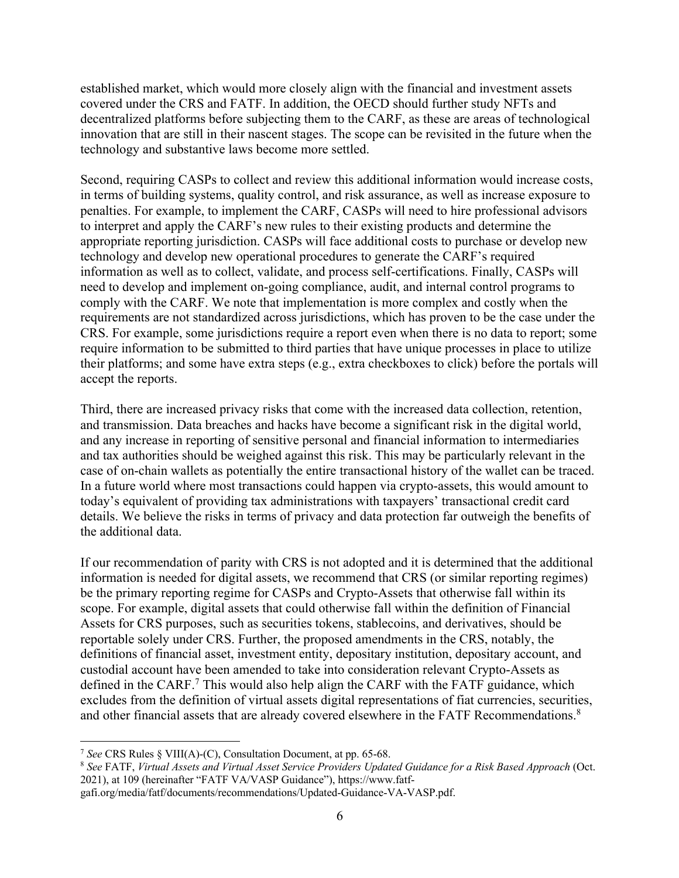established market, which would more closely align with the financial and investment assets covered under the CRS and FATF. In addition, the OECD should further study NFTs and decentralized platforms before subjecting them to the CARF, as these are areas of technological innovation that are still in their nascent stages. The scope can be revisited in the future when the technology and substantive laws become more settled.

Second, requiring CASPs to collect and review this additional information would increase costs, in terms of building systems, quality control, and risk assurance, as well as increase exposure to penalties. For example, to implement the CARF, CASPs will need to hire professional advisors to interpret and apply the CARF's new rules to their existing products and determine the appropriate reporting jurisdiction. CASPs will face additional costs to purchase or develop new technology and develop new operational procedures to generate the CARF's required information as well as to collect, validate, and process self-certifications. Finally, CASPs will need to develop and implement on-going compliance, audit, and internal control programs to comply with the CARF. We note that implementation is more complex and costly when the requirements are not standardized across jurisdictions, which has proven to be the case under the CRS. For example, some jurisdictions require a report even when there is no data to report; some require information to be submitted to third parties that have unique processes in place to utilize their platforms; and some have extra steps (e.g., extra checkboxes to click) before the portals will accept the reports.

Third, there are increased privacy risks that come with the increased data collection, retention, and transmission. Data breaches and hacks have become a significant risk in the digital world, and any increase in reporting of sensitive personal and financial information to intermediaries and tax authorities should be weighed against this risk. This may be particularly relevant in the case of on-chain wallets as potentially the entire transactional history of the wallet can be traced. In a future world where most transactions could happen via crypto-assets, this would amount to today's equivalent of providing tax administrations with taxpayers' transactional credit card details. We believe the risks in terms of privacy and data protection far outweigh the benefits of the additional data.

If our recommendation of parity with CRS is not adopted and it is determined that the additional information is needed for digital assets, we recommend that CRS (or similar reporting regimes) be the primary reporting regime for CASPs and Crypto-Assets that otherwise fall within its scope. For example, digital assets that could otherwise fall within the definition of Financial Assets for CRS purposes, such as securities tokens, stablecoins, and derivatives, should be reportable solely under CRS. Further, the proposed amendments in the CRS, notably, the definitions of financial asset, investment entity, depositary institution, depositary account, and custodial account have been amended to take into consideration relevant Crypto-Assets as defined in the CARF.<sup>7</sup> This would also help align the CARF with the FATF guidance, which excludes from the definition of virtual assets digital representations of fiat currencies, securities, and other financial assets that are already covered elsewhere in the FATF Recommendations.<sup>8</sup>

<sup>&</sup>lt;sup>7</sup> See CRS Rules § VIII(A)-(C), Consultation Document, at pp. 65-68.<br><sup>8</sup> See FATF, *Virtual Assets and Virtual Asset Service Providers Updated Guidance for a Risk Based Approach (Oct.* 2021), at 109 (hereinafter "FATF VA/VASP Guidance"), https://www.fatf-

gafi.org/media/fatf/documents/recommendations/Updated-Guidance-VA-VASP.pdf.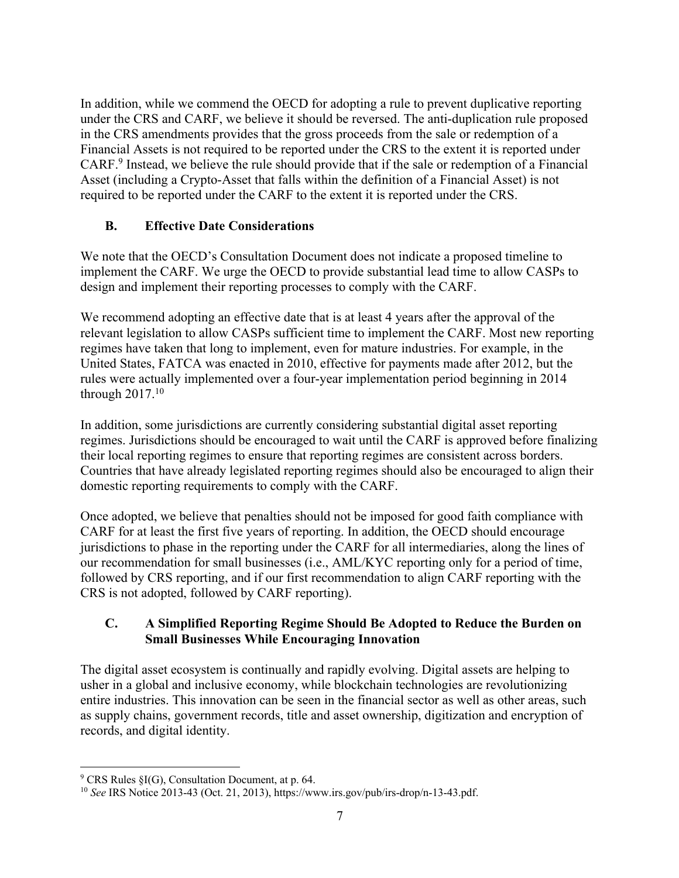In addition, while we commend the OECD for adopting a rule to prevent duplicative reporting under the CRS and CARF, we believe it should be reversed. The anti-duplication rule proposed in the CRS amendments provides that the gross proceeds from the sale or redemption of a Financial Assets is not required to be reported under the CRS to the extent it is reported under CARF.9 Instead, we believe the rule should provide that if the sale or redemption of a Financial Asset (including a Crypto-Asset that falls within the definition of a Financial Asset) is not required to be reported under the CARF to the extent it is reported under the CRS.

# **B. Effective Date Considerations**

We note that the OECD's Consultation Document does not indicate a proposed timeline to implement the CARF. We urge the OECD to provide substantial lead time to allow CASPs to design and implement their reporting processes to comply with the CARF.

We recommend adopting an effective date that is at least 4 years after the approval of the relevant legislation to allow CASPs sufficient time to implement the CARF. Most new reporting regimes have taken that long to implement, even for mature industries. For example, in the United States, FATCA was enacted in 2010, effective for payments made after 2012, but the rules were actually implemented over a four-year implementation period beginning in 2014 through  $2017.<sup>10</sup>$ 

In addition, some jurisdictions are currently considering substantial digital asset reporting regimes. Jurisdictions should be encouraged to wait until the CARF is approved before finalizing their local reporting regimes to ensure that reporting regimes are consistent across borders. Countries that have already legislated reporting regimes should also be encouraged to align their domestic reporting requirements to comply with the CARF.

Once adopted, we believe that penalties should not be imposed for good faith compliance with CARF for at least the first five years of reporting. In addition, the OECD should encourage jurisdictions to phase in the reporting under the CARF for all intermediaries, along the lines of our recommendation for small businesses (i.e., AML/KYC reporting only for a period of time, followed by CRS reporting, and if our first recommendation to align CARF reporting with the CRS is not adopted, followed by CARF reporting).

# **C. A Simplified Reporting Regime Should Be Adopted to Reduce the Burden on Small Businesses While Encouraging Innovation**

The digital asset ecosystem is continually and rapidly evolving. Digital assets are helping to usher in a global and inclusive economy, while blockchain technologies are revolutionizing entire industries. This innovation can be seen in the financial sector as well as other areas, such as supply chains, government records, title and asset ownership, digitization and encryption of records, and digital identity.

<sup>9</sup> CRS Rules §I(G), Consultation Document, at p. 64.

<sup>10</sup> *See* IRS Notice 2013-43 (Oct. 21, 2013), https://www.irs.gov/pub/irs-drop/n-13-43.pdf.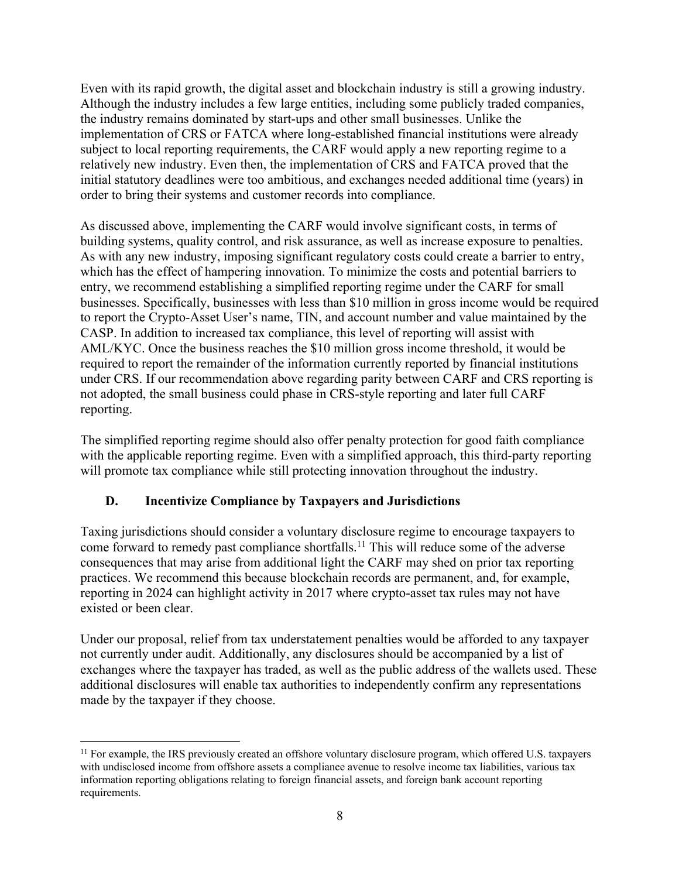Even with its rapid growth, the digital asset and blockchain industry is still a growing industry. Although the industry includes a few large entities, including some publicly traded companies, the industry remains dominated by start-ups and other small businesses. Unlike the implementation of CRS or FATCA where long-established financial institutions were already subject to local reporting requirements, the CARF would apply a new reporting regime to a relatively new industry. Even then, the implementation of CRS and FATCA proved that the initial statutory deadlines were too ambitious, and exchanges needed additional time (years) in order to bring their systems and customer records into compliance.

As discussed above, implementing the CARF would involve significant costs, in terms of building systems, quality control, and risk assurance, as well as increase exposure to penalties. As with any new industry, imposing significant regulatory costs could create a barrier to entry, which has the effect of hampering innovation. To minimize the costs and potential barriers to entry, we recommend establishing a simplified reporting regime under the CARF for small businesses. Specifically, businesses with less than \$10 million in gross income would be required to report the Crypto-Asset User's name, TIN, and account number and value maintained by the CASP. In addition to increased tax compliance, this level of reporting will assist with AML/KYC. Once the business reaches the \$10 million gross income threshold, it would be required to report the remainder of the information currently reported by financial institutions under CRS. If our recommendation above regarding parity between CARF and CRS reporting is not adopted, the small business could phase in CRS-style reporting and later full CARF reporting.

The simplified reporting regime should also offer penalty protection for good faith compliance with the applicable reporting regime. Even with a simplified approach, this third-party reporting will promote tax compliance while still protecting innovation throughout the industry.

# **D. Incentivize Compliance by Taxpayers and Jurisdictions**

Taxing jurisdictions should consider a voluntary disclosure regime to encourage taxpayers to come forward to remedy past compliance shortfalls.<sup>11</sup> This will reduce some of the adverse consequences that may arise from additional light the CARF may shed on prior tax reporting practices. We recommend this because blockchain records are permanent, and, for example, reporting in 2024 can highlight activity in 2017 where crypto-asset tax rules may not have existed or been clear.

Under our proposal, relief from tax understatement penalties would be afforded to any taxpayer not currently under audit. Additionally, any disclosures should be accompanied by a list of exchanges where the taxpayer has traded, as well as the public address of the wallets used. These additional disclosures will enable tax authorities to independently confirm any representations made by the taxpayer if they choose.

<sup>&</sup>lt;sup>11</sup> For example, the IRS previously created an offshore voluntary disclosure program, which offered U.S. taxpayers with undisclosed income from offshore assets a compliance avenue to resolve income tax liabilities, various tax information reporting obligations relating to foreign financial assets, and foreign bank account reporting requirements.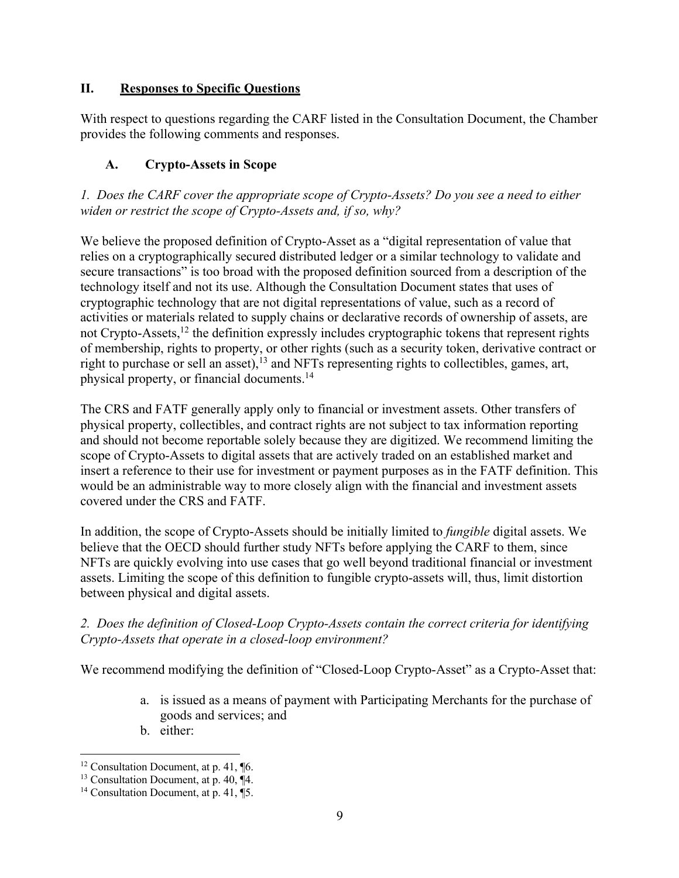# **II. Responses to Specific Questions**

With respect to questions regarding the CARF listed in the Consultation Document, the Chamber provides the following comments and responses.

# **A. Crypto-Assets in Scope**

*1. Does the CARF cover the appropriate scope of Crypto-Assets? Do you see a need to either widen or restrict the scope of Crypto-Assets and, if so, why?*

We believe the proposed definition of Crypto-Asset as a "digital representation of value that relies on a cryptographically secured distributed ledger or a similar technology to validate and secure transactions" is too broad with the proposed definition sourced from a description of the technology itself and not its use. Although the Consultation Document states that uses of cryptographic technology that are not digital representations of value, such as a record of activities or materials related to supply chains or declarative records of ownership of assets, are not Crypto-Assets,<sup>12</sup> the definition expressly includes cryptographic tokens that represent rights of membership, rights to property, or other rights (such as a security token, derivative contract or right to purchase or sell an asset),  $13$  and NFTs representing rights to collectibles, games, art, physical property, or financial documents.14

The CRS and FATF generally apply only to financial or investment assets. Other transfers of physical property, collectibles, and contract rights are not subject to tax information reporting and should not become reportable solely because they are digitized. We recommend limiting the scope of Crypto-Assets to digital assets that are actively traded on an established market and insert a reference to their use for investment or payment purposes as in the FATF definition. This would be an administrable way to more closely align with the financial and investment assets covered under the CRS and FATF.

In addition, the scope of Crypto-Assets should be initially limited to *fungible* digital assets. We believe that the OECD should further study NFTs before applying the CARF to them, since NFTs are quickly evolving into use cases that go well beyond traditional financial or investment assets. Limiting the scope of this definition to fungible crypto-assets will, thus, limit distortion between physical and digital assets.

# *2. Does the definition of Closed-Loop Crypto-Assets contain the correct criteria for identifying Crypto-Assets that operate in a closed-loop environment?*

We recommend modifying the definition of "Closed-Loop Crypto-Asset" as a Crypto-Asset that:

- a. is issued as a means of payment with Participating Merchants for the purchase of goods and services; and
- b. either:

<sup>&</sup>lt;sup>12</sup> Consultation Document, at p. 41, **[6.**]

<sup>&</sup>lt;sup>13</sup> Consultation Document, at p. 40,  $\P$ 4.

<sup>&</sup>lt;sup>14</sup> Consultation Document, at p. 41,  $\overline{$ 5.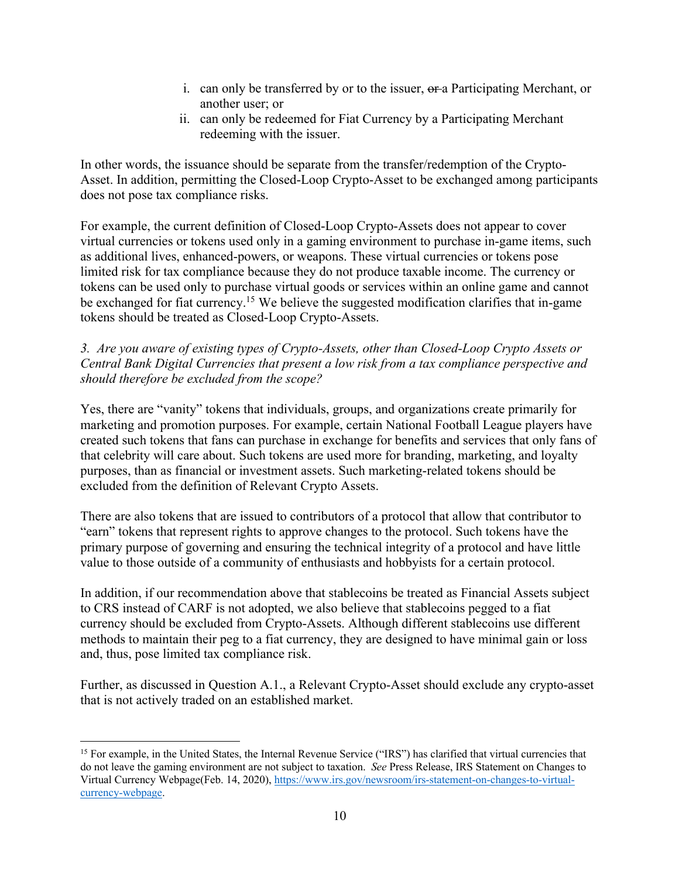- i. can only be transferred by or to the issuer,  $\theta$  are Participating Merchant, or another user; or
- ii. can only be redeemed for Fiat Currency by a Participating Merchant redeeming with the issuer.

In other words, the issuance should be separate from the transfer/redemption of the Crypto-Asset. In addition, permitting the Closed-Loop Crypto-Asset to be exchanged among participants does not pose tax compliance risks.

For example, the current definition of Closed-Loop Crypto-Assets does not appear to cover virtual currencies or tokens used only in a gaming environment to purchase in-game items, such as additional lives, enhanced-powers, or weapons. These virtual currencies or tokens pose limited risk for tax compliance because they do not produce taxable income. The currency or tokens can be used only to purchase virtual goods or services within an online game and cannot be exchanged for fiat currency.<sup>15</sup> We believe the suggested modification clarifies that in-game tokens should be treated as Closed-Loop Crypto-Assets.

### *3. Are you aware of existing types of Crypto-Assets, other than Closed-Loop Crypto Assets or Central Bank Digital Currencies that present a low risk from a tax compliance perspective and should therefore be excluded from the scope?*

Yes, there are "vanity" tokens that individuals, groups, and organizations create primarily for marketing and promotion purposes. For example, certain National Football League players have created such tokens that fans can purchase in exchange for benefits and services that only fans of that celebrity will care about. Such tokens are used more for branding, marketing, and loyalty purposes, than as financial or investment assets. Such marketing-related tokens should be excluded from the definition of Relevant Crypto Assets.

There are also tokens that are issued to contributors of a protocol that allow that contributor to "earn" tokens that represent rights to approve changes to the protocol. Such tokens have the primary purpose of governing and ensuring the technical integrity of a protocol and have little value to those outside of a community of enthusiasts and hobbyists for a certain protocol.

In addition, if our recommendation above that stablecoins be treated as Financial Assets subject to CRS instead of CARF is not adopted, we also believe that stablecoins pegged to a fiat currency should be excluded from Crypto-Assets. Although different stablecoins use different methods to maintain their peg to a fiat currency, they are designed to have minimal gain or loss and, thus, pose limited tax compliance risk.

Further, as discussed in Question A.1., a Relevant Crypto-Asset should exclude any crypto-asset that is not actively traded on an established market.

<sup>&</sup>lt;sup>15</sup> For example, in the United States, the Internal Revenue Service ("IRS") has clarified that virtual currencies that do not leave the gaming environment are not subject to taxation. *See* Press Release, IRS Statement on Changes to Virtual Currency Webpage(Feb. 14, 2020), https://www.irs.gov/newsroom/irs-statement-on-changes-to-virtualcurrency-webpage.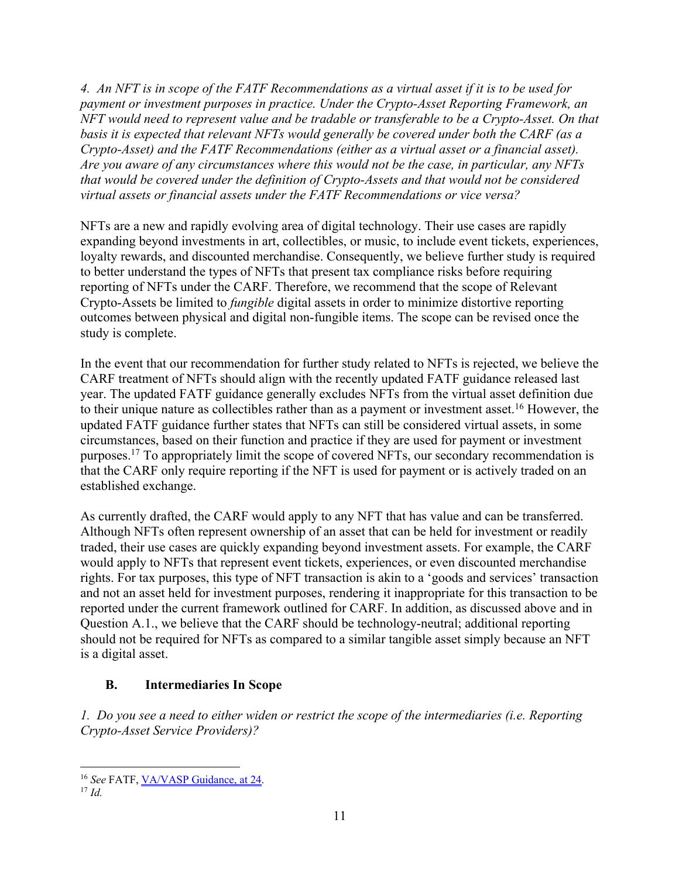*4. An NFT is in scope of the FATF Recommendations as a virtual asset if it is to be used for payment or investment purposes in practice. Under the Crypto-Asset Reporting Framework, an NFT would need to represent value and be tradable or transferable to be a Crypto-Asset. On that basis it is expected that relevant NFTs would generally be covered under both the CARF (as a Crypto-Asset) and the FATF Recommendations (either as a virtual asset or a financial asset). Are you aware of any circumstances where this would not be the case, in particular, any NFTs that would be covered under the definition of Crypto-Assets and that would not be considered virtual assets or financial assets under the FATF Recommendations or vice versa?*

NFTs are a new and rapidly evolving area of digital technology. Their use cases are rapidly expanding beyond investments in art, collectibles, or music, to include event tickets, experiences, loyalty rewards, and discounted merchandise. Consequently, we believe further study is required to better understand the types of NFTs that present tax compliance risks before requiring reporting of NFTs under the CARF. Therefore, we recommend that the scope of Relevant Crypto-Assets be limited to *fungible* digital assets in order to minimize distortive reporting outcomes between physical and digital non-fungible items. The scope can be revised once the study is complete.

In the event that our recommendation for further study related to NFTs is rejected, we believe the CARF treatment of NFTs should align with the recently updated FATF guidance released last year. The updated FATF guidance generally excludes NFTs from the virtual asset definition due to their unique nature as collectibles rather than as a payment or investment asset. <sup>16</sup> However, the updated FATF guidance further states that NFTs can still be considered virtual assets, in some circumstances, based on their function and practice if they are used for payment or investment purposes.17 To appropriately limit the scope of covered NFTs, our secondary recommendation is that the CARF only require reporting if the NFT is used for payment or is actively traded on an established exchange.

As currently drafted, the CARF would apply to any NFT that has value and can be transferred. Although NFTs often represent ownership of an asset that can be held for investment or readily traded, their use cases are quickly expanding beyond investment assets. For example, the CARF would apply to NFTs that represent event tickets, experiences, or even discounted merchandise rights. For tax purposes, this type of NFT transaction is akin to a 'goods and services' transaction and not an asset held for investment purposes, rendering it inappropriate for this transaction to be reported under the current framework outlined for CARF. In addition, as discussed above and in Question A.1., we believe that the CARF should be technology-neutral; additional reporting should not be required for NFTs as compared to a similar tangible asset simply because an NFT is a digital asset.

# **B. Intermediaries In Scope**

*1. Do you see a need to either widen or restrict the scope of the intermediaries (i.e. Reporting Crypto-Asset Service Providers)?*

<sup>16</sup> *See* FATF, VA/VASP Guidance, at 24.

<sup>17</sup> *Id.*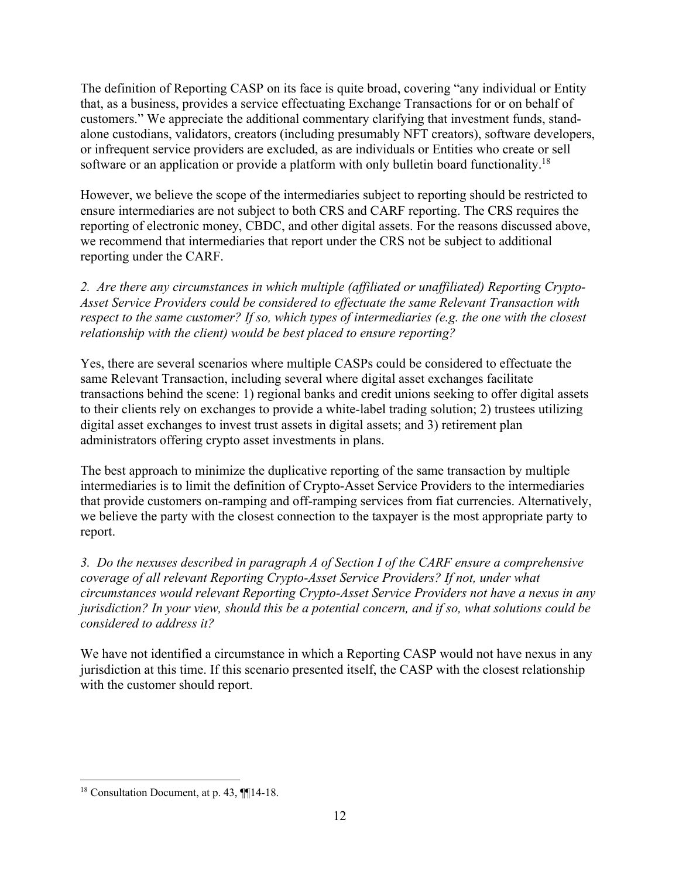The definition of Reporting CASP on its face is quite broad, covering "any individual or Entity that, as a business, provides a service effectuating Exchange Transactions for or on behalf of customers." We appreciate the additional commentary clarifying that investment funds, standalone custodians, validators, creators (including presumably NFT creators), software developers, or infrequent service providers are excluded, as are individuals or Entities who create or sell software or an application or provide a platform with only bulletin board functionality.<sup>18</sup>

However, we believe the scope of the intermediaries subject to reporting should be restricted to ensure intermediaries are not subject to both CRS and CARF reporting. The CRS requires the reporting of electronic money, CBDC, and other digital assets. For the reasons discussed above, we recommend that intermediaries that report under the CRS not be subject to additional reporting under the CARF.

*2. Are there any circumstances in which multiple (affiliated or unaffiliated) Reporting Crypto-Asset Service Providers could be considered to effectuate the same Relevant Transaction with respect to the same customer? If so, which types of intermediaries (e.g. the one with the closest relationship with the client) would be best placed to ensure reporting?*

Yes, there are several scenarios where multiple CASPs could be considered to effectuate the same Relevant Transaction, including several where digital asset exchanges facilitate transactions behind the scene: 1) regional banks and credit unions seeking to offer digital assets to their clients rely on exchanges to provide a white-label trading solution; 2) trustees utilizing digital asset exchanges to invest trust assets in digital assets; and 3) retirement plan administrators offering crypto asset investments in plans.

The best approach to minimize the duplicative reporting of the same transaction by multiple intermediaries is to limit the definition of Crypto-Asset Service Providers to the intermediaries that provide customers on-ramping and off-ramping services from fiat currencies. Alternatively, we believe the party with the closest connection to the taxpayer is the most appropriate party to report.

*3. Do the nexuses described in paragraph A of Section I of the CARF ensure a comprehensive coverage of all relevant Reporting Crypto-Asset Service Providers? If not, under what circumstances would relevant Reporting Crypto-Asset Service Providers not have a nexus in any jurisdiction? In your view, should this be a potential concern, and if so, what solutions could be considered to address it?*

We have not identified a circumstance in which a Reporting CASP would not have nexus in any jurisdiction at this time. If this scenario presented itself, the CASP with the closest relationship with the customer should report.

<sup>&</sup>lt;sup>18</sup> Consultation Document, at p. 43, ¶¶14-18.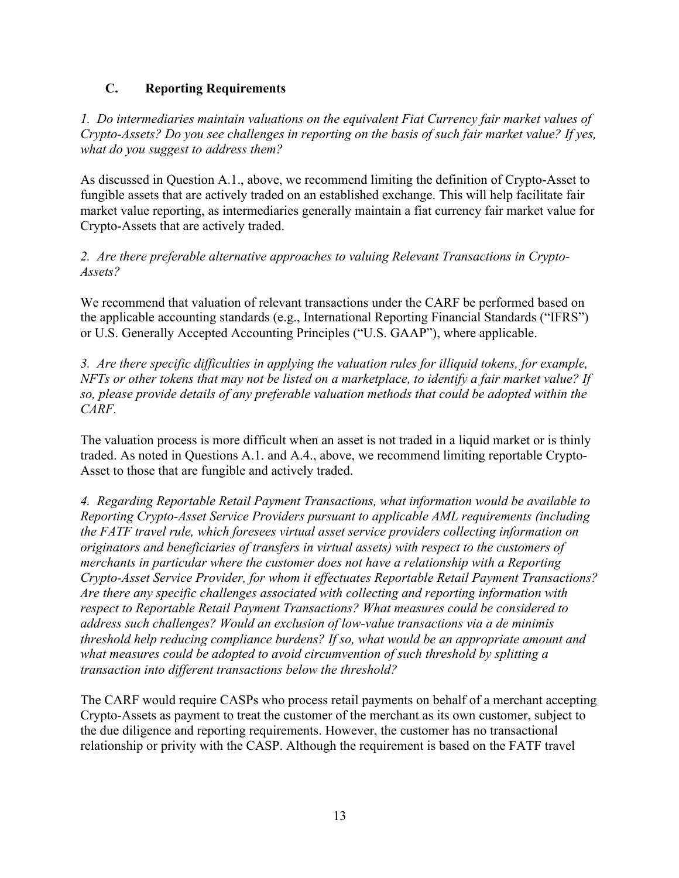### **C. Reporting Requirements**

*1. Do intermediaries maintain valuations on the equivalent Fiat Currency fair market values of Crypto-Assets? Do you see challenges in reporting on the basis of such fair market value? If yes, what do you suggest to address them?*

As discussed in Question A.1., above, we recommend limiting the definition of Crypto-Asset to fungible assets that are actively traded on an established exchange. This will help facilitate fair market value reporting, as intermediaries generally maintain a fiat currency fair market value for Crypto-Assets that are actively traded.

*2. Are there preferable alternative approaches to valuing Relevant Transactions in Crypto-Assets?*

We recommend that valuation of relevant transactions under the CARF be performed based on the applicable accounting standards (e.g., International Reporting Financial Standards ("IFRS") or U.S. Generally Accepted Accounting Principles ("U.S. GAAP"), where applicable.

*3. Are there specific difficulties in applying the valuation rules for illiquid tokens, for example, NFTs or other tokens that may not be listed on a marketplace, to identify a fair market value? If so, please provide details of any preferable valuation methods that could be adopted within the CARF.*

The valuation process is more difficult when an asset is not traded in a liquid market or is thinly traded. As noted in Questions A.1. and A.4., above, we recommend limiting reportable Crypto-Asset to those that are fungible and actively traded.

*4. Regarding Reportable Retail Payment Transactions, what information would be available to Reporting Crypto-Asset Service Providers pursuant to applicable AML requirements (including the FATF travel rule, which foresees virtual asset service providers collecting information on originators and beneficiaries of transfers in virtual assets) with respect to the customers of merchants in particular where the customer does not have a relationship with a Reporting Crypto-Asset Service Provider, for whom it effectuates Reportable Retail Payment Transactions? Are there any specific challenges associated with collecting and reporting information with respect to Reportable Retail Payment Transactions? What measures could be considered to address such challenges? Would an exclusion of low-value transactions via a de minimis threshold help reducing compliance burdens? If so, what would be an appropriate amount and what measures could be adopted to avoid circumvention of such threshold by splitting a transaction into different transactions below the threshold?*

The CARF would require CASPs who process retail payments on behalf of a merchant accepting Crypto-Assets as payment to treat the customer of the merchant as its own customer, subject to the due diligence and reporting requirements. However, the customer has no transactional relationship or privity with the CASP. Although the requirement is based on the FATF travel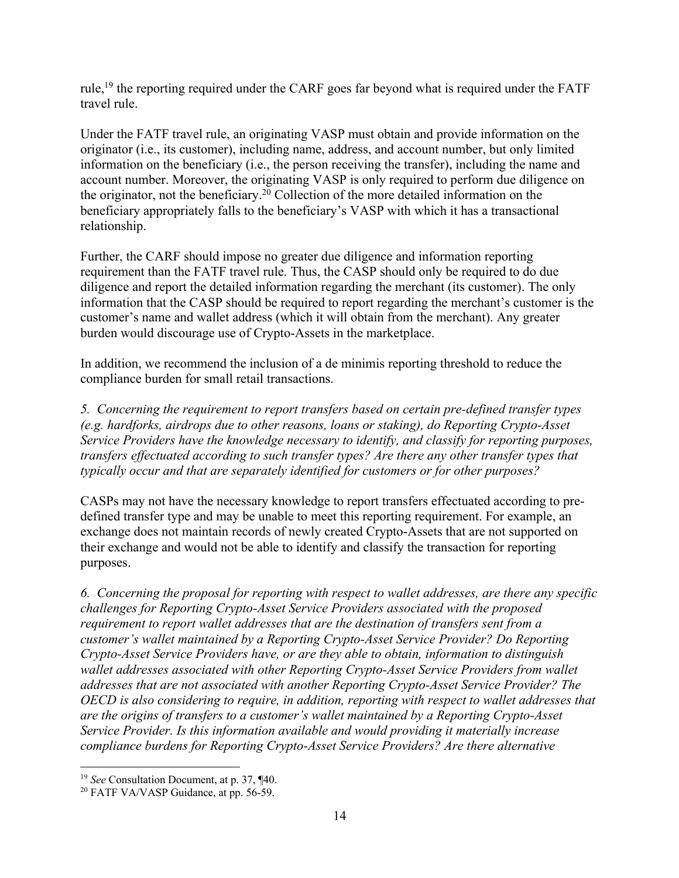rule,<sup>19</sup> the reporting required under the CARF goes far beyond what is required under the FATF travel rule.

Under the FATF travel rule, an originating VASP must obtain and provide information on the originator (i.e., its customer), including name, address, and account number, but only limited information on the beneficiary (i.e., the person receiving the transfer), including the name and account number. Moreover, the originating VASP is only required to perform due diligence on the originator, not the beneficiary.<sup>20</sup> Collection of the more detailed information on the beneficiary appropriately falls to the beneficiary's VASP with which it has a transactional relationship.

Further, the CARF should impose no greater due diligence and information reporting requirement than the FATF travel rule. Thus, the CASP should only be required to do due diligence and report the detailed information regarding the merchant (its customer). The only information that the CASP should be required to report regarding the merchant's customer is the customer's name and wallet address (which it will obtain from the merchant). Any greater burden would discourage use of Crypto-Assets in the marketplace.

In addition, we recommend the inclusion of a de minimis reporting threshold to reduce the compliance burden for small retail transactions.

*5. Concerning the requirement to report transfers based on certain pre-defined transfer types (e.g. hardforks, airdrops due to other reasons, loans or staking), do Reporting Crypto-Asset Service Providers have the knowledge necessary to identify, and classify for reporting purposes, transfers effectuated according to such transfer types? Are there any other transfer types that typically occur and that are separately identified for customers or for other purposes?*

CASPs may not have the necessary knowledge to report transfers effectuated according to predefined transfer type and may be unable to meet this reporting requirement. For example, an exchange does not maintain records of newly created Crypto-Assets that are not supported on their exchange and would not be able to identify and classify the transaction for reporting purposes.

*6. Concerning the proposal for reporting with respect to wallet addresses, are there any specific challenges for Reporting Crypto-Asset Service Providers associated with the proposed requirement to report wallet addresses that are the destination of transfers sent from a customer's wallet maintained by a Reporting Crypto-Asset Service Provider? Do Reporting Crypto-Asset Service Providers have, or are they able to obtain, information to distinguish wallet addresses associated with other Reporting Crypto-Asset Service Providers from wallet addresses that are not associated with another Reporting Crypto-Asset Service Provider? The OECD is also considering to require, in addition, reporting with respect to wallet addresses that are the origins of transfers to a customer's wallet maintained by a Reporting Crypto-Asset Service Provider. Is this information available and would providing it materially increase compliance burdens for Reporting Crypto-Asset Service Providers? Are there alternative* 

<sup>19</sup> *See* Consultation Document, at p. 37, ¶40.

<sup>&</sup>lt;sup>20</sup> FATF VA/VASP Guidance, at pp. 56-59.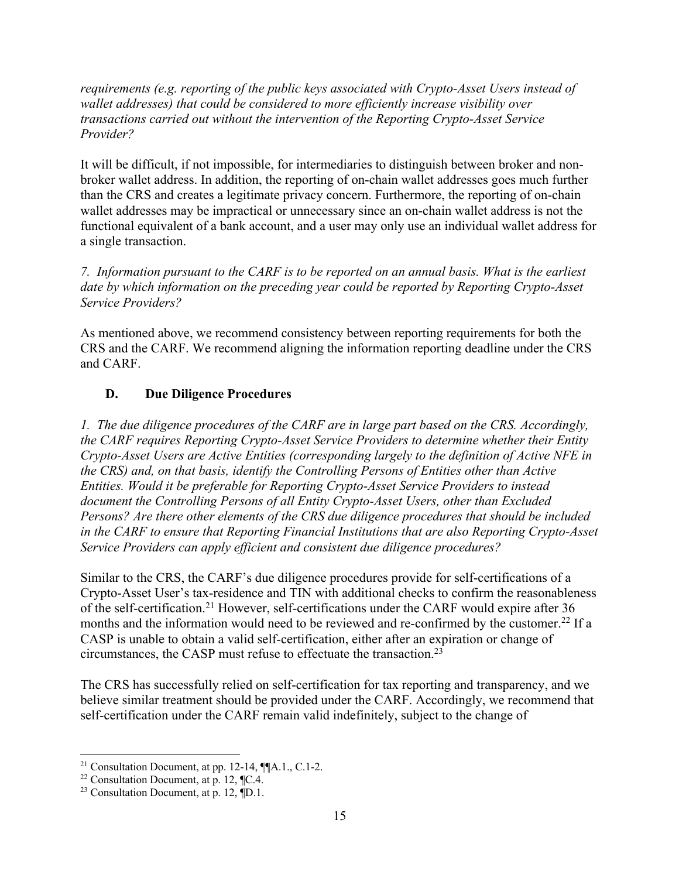*requirements (e.g. reporting of the public keys associated with Crypto-Asset Users instead of wallet addresses) that could be considered to more efficiently increase visibility over transactions carried out without the intervention of the Reporting Crypto-Asset Service Provider?*

It will be difficult, if not impossible, for intermediaries to distinguish between broker and nonbroker wallet address. In addition, the reporting of on-chain wallet addresses goes much further than the CRS and creates a legitimate privacy concern. Furthermore, the reporting of on-chain wallet addresses may be impractical or unnecessary since an on-chain wallet address is not the functional equivalent of a bank account, and a user may only use an individual wallet address for a single transaction.

*7. Information pursuant to the CARF is to be reported on an annual basis. What is the earliest date by which information on the preceding year could be reported by Reporting Crypto-Asset Service Providers?*

As mentioned above, we recommend consistency between reporting requirements for both the CRS and the CARF. We recommend aligning the information reporting deadline under the CRS and CARF.

# **D. Due Diligence Procedures**

*1. The due diligence procedures of the CARF are in large part based on the CRS. Accordingly, the CARF requires Reporting Crypto-Asset Service Providers to determine whether their Entity Crypto-Asset Users are Active Entities (corresponding largely to the definition of Active NFE in the CRS) and, on that basis, identify the Controlling Persons of Entities other than Active Entities. Would it be preferable for Reporting Crypto-Asset Service Providers to instead document the Controlling Persons of all Entity Crypto-Asset Users, other than Excluded Persons? Are there other elements of the CRS due diligence procedures that should be included in the CARF to ensure that Reporting Financial Institutions that are also Reporting Crypto-Asset Service Providers can apply efficient and consistent due diligence procedures?*

Similar to the CRS, the CARF's due diligence procedures provide for self-certifications of a Crypto-Asset User's tax-residence and TIN with additional checks to confirm the reasonableness of the self-certification.21 However, self-certifications under the CARF would expire after 36 months and the information would need to be reviewed and re-confirmed by the customer.<sup>22</sup> If a CASP is unable to obtain a valid self-certification, either after an expiration or change of circumstances, the CASP must refuse to effectuate the transaction.23

The CRS has successfully relied on self-certification for tax reporting and transparency, and we believe similar treatment should be provided under the CARF. Accordingly, we recommend that self-certification under the CARF remain valid indefinitely, subject to the change of

<sup>&</sup>lt;sup>21</sup> Consultation Document, at pp. 12-14,  $\P$  $[A.1., C.1-2.$ <br><sup>22</sup> Consultation Document, at p. 12,  $\P$  $C.4$ .<br><sup>23</sup> Consultation Document, at p. 12,  $\P$ D.1.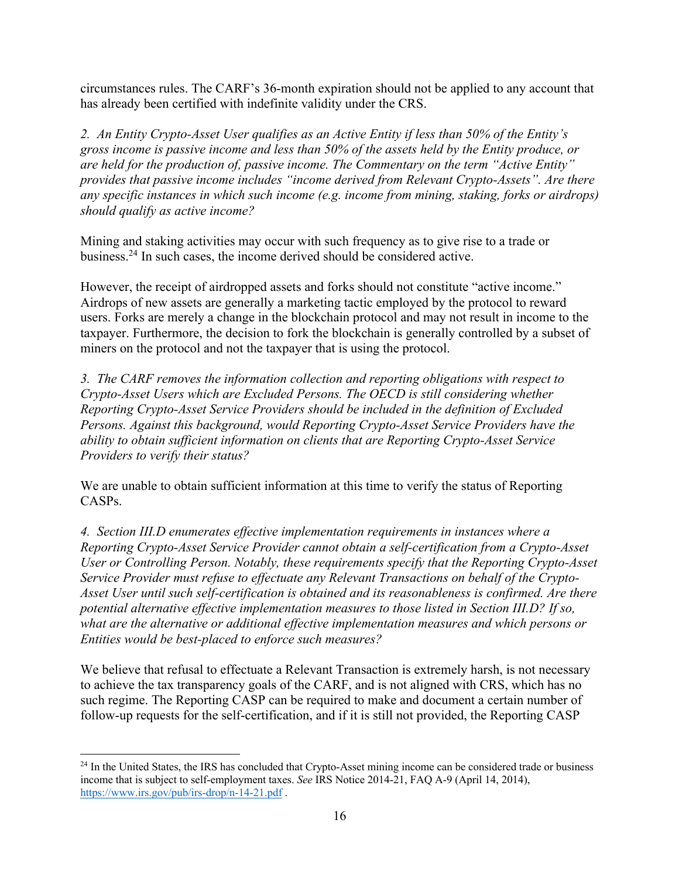circumstances rules. The CARF's 36-month expiration should not be applied to any account that has already been certified with indefinite validity under the CRS.

*2. An Entity Crypto-Asset User qualifies as an Active Entity if less than 50% of the Entity's gross income is passive income and less than 50% of the assets held by the Entity produce, or are held for the production of, passive income. The Commentary on the term "Active Entity" provides that passive income includes "income derived from Relevant Crypto-Assets". Are there any specific instances in which such income (e.g. income from mining, staking, forks or airdrops) should qualify as active income?*

Mining and staking activities may occur with such frequency as to give rise to a trade or business.24 In such cases, the income derived should be considered active.

However, the receipt of airdropped assets and forks should not constitute "active income." Airdrops of new assets are generally a marketing tactic employed by the protocol to reward users. Forks are merely a change in the blockchain protocol and may not result in income to the taxpayer. Furthermore, the decision to fork the blockchain is generally controlled by a subset of miners on the protocol and not the taxpayer that is using the protocol.

*3. The CARF removes the information collection and reporting obligations with respect to Crypto-Asset Users which are Excluded Persons. The OECD is still considering whether Reporting Crypto-Asset Service Providers should be included in the definition of Excluded Persons. Against this background, would Reporting Crypto-Asset Service Providers have the ability to obtain sufficient information on clients that are Reporting Crypto-Asset Service Providers to verify their status?*

We are unable to obtain sufficient information at this time to verify the status of Reporting CASPs.

*4. Section III.D enumerates effective implementation requirements in instances where a Reporting Crypto-Asset Service Provider cannot obtain a self-certification from a Crypto-Asset User or Controlling Person. Notably, these requirements specify that the Reporting Crypto-Asset Service Provider must refuse to effectuate any Relevant Transactions on behalf of the Crypto-Asset User until such self-certification is obtained and its reasonableness is confirmed. Are there potential alternative effective implementation measures to those listed in Section III.D? If so, what are the alternative or additional effective implementation measures and which persons or Entities would be best-placed to enforce such measures?*

We believe that refusal to effectuate a Relevant Transaction is extremely harsh, is not necessary to achieve the tax transparency goals of the CARF, and is not aligned with CRS, which has no such regime. The Reporting CASP can be required to make and document a certain number of follow-up requests for the self-certification, and if it is still not provided, the Reporting CASP

<sup>&</sup>lt;sup>24</sup> In the United States, the IRS has concluded that Crypto-Asset mining income can be considered trade or business income that is subject to self-employment taxes. *See* IRS Notice 2014-21, FAQ A-9 (April 14, 2014), https://www.irs.gov/pub/irs-drop/n-14-21.pdf .